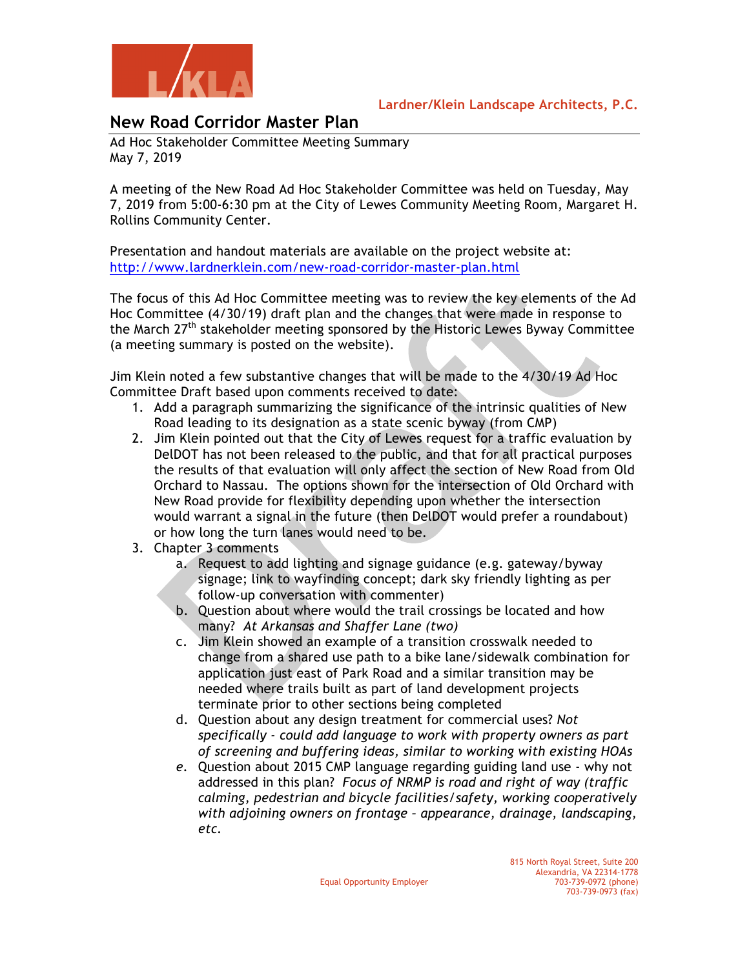

**Lardner/Klein Landscape Architects, P.C.**

## **New Road Corridor Master Plan**

Ad Hoc Stakeholder Committee Meeting Summary May 7, 2019

A meeting of the New Road Ad Hoc Stakeholder Committee was held on Tuesday, May 7, 2019 from 5:00-6:30 pm at the City of Lewes Community Meeting Room, Margaret H. Rollins Community Center.

Presentation and handout materials are available on the project website at: http://www.lardnerklein.com/new-road-corridor-master-plan.html

The focus of this Ad Hoc Committee meeting was to review the key elements of the Ad Hoc Committee (4/30/19) draft plan and the changes that were made in response to the March 27<sup>th</sup> stakeholder meeting sponsored by the Historic Lewes Byway Committee (a meeting summary is posted on the website).

Jim Klein noted a few substantive changes that will be made to the 4/30/19 Ad Hoc Committee Draft based upon comments received to date:

- 1. Add a paragraph summarizing the significance of the intrinsic qualities of New Road leading to its designation as a state scenic byway (from CMP)
- 2. Jim Klein pointed out that the City of Lewes request for a traffic evaluation by DelDOT has not been released to the public, and that for all practical purposes the results of that evaluation will only affect the section of New Road from Old Orchard to Nassau. The options shown for the intersection of Old Orchard with New Road provide for flexibility depending upon whether the intersection would warrant a signal in the future (then DelDOT would prefer a roundabout) or how long the turn lanes would need to be.
- 3. Chapter 3 comments
	- a. Request to add lighting and signage guidance (e.g. gateway/byway signage; link to wayfinding concept; dark sky friendly lighting as per follow-up conversation with commenter)
	- b. Question about where would the trail crossings be located and how many? *At Arkansas and Shaffer Lane (two)*
	- c. Jim Klein showed an example of a transition crosswalk needed to change from a shared use path to a bike lane/sidewalk combination for application just east of Park Road and a similar transition may be needed where trails built as part of land development projects terminate prior to other sections being completed
	- d. Question about any design treatment for commercial uses? *Not specifically - could add language to work with property owners as part of screening and buffering ideas, similar to working with existing HOAs*
	- *e.* Question about 2015 CMP language regarding guiding land use why not addressed in this plan? *Focus of NRMP is road and right of way (traffic calming, pedestrian and bicycle facilities/safety, working cooperatively with adjoining owners on frontage – appearance, drainage, landscaping, etc.*